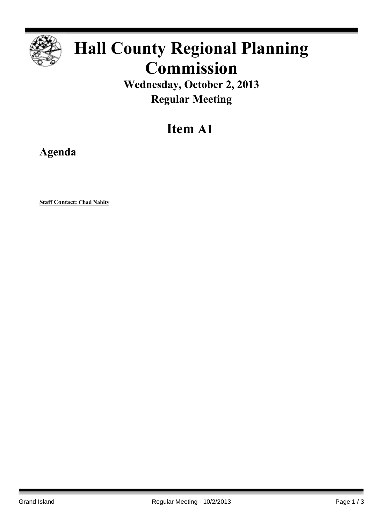

# **Hall County Regional Planning Commission**

**Wednesday, October 2, 2013 Regular Meeting**

## **Item A1**

**Agenda**

**Staff Contact: Chad Nabity**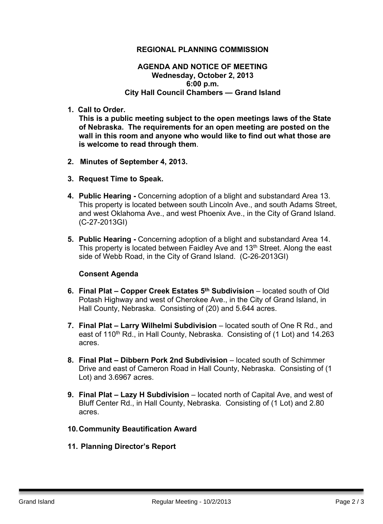### **REGIONAL PLANNING COMMISSION**

#### **AGENDA AND NOTICE OF MEETING Wednesday, October 2, 2013 6:00 p.m. City Hall Council Chambers — Grand Island**

**1. Call to Order.**

**This is a public meeting subject to the open meetings laws of the State of Nebraska. The requirements for an open meeting are posted on the wall in this room and anyone who would like to find out what those are is welcome to read through them**.

- **2. Minutes of September 4, 2013.**
- **3. Request Time to Speak.**
- **4. Public Hearing -** Concerning adoption of a blight and substandard Area 13. This property is located between south Lincoln Ave., and south Adams Street, and west Oklahoma Ave., and west Phoenix Ave., in the City of Grand Island. (C-27-2013GI)
- **5. Public Hearing -** Concerning adoption of a blight and substandard Area 14. This property is located between Faidley Aye and 13<sup>th</sup> Street. Along the east side of Webb Road, in the City of Grand Island. (C-26-2013GI)

#### **Consent Agenda**

- **6. Final Plat – Copper Creek Estates 5 th Subdivision** located south of Old Potash Highway and west of Cherokee Ave., in the City of Grand Island, in Hall County, Nebraska. Consisting of (20) and 5.644 acres.
- **7. Final Plat – Larry Wilhelmi Subdivision** located south of One R Rd., and east of 110<sup>th</sup> Rd., in Hall County, Nebraska. Consisting of (1 Lot) and 14.263 acres.
- **8. Final Plat – Dibbern Pork 2nd Subdivision** located south of Schimmer Drive and east of Cameron Road in Hall County, Nebraska. Consisting of (1 Lot) and 3.6967 acres.
- **9. Final Plat – Lazy H Subdivision** located north of Capital Ave, and west of Bluff Center Rd., in Hall County, Nebraska. Consisting of (1 Lot) and 2.80 acres.
- **10.Community Beautification Award**
- **11. Planning Director's Report**